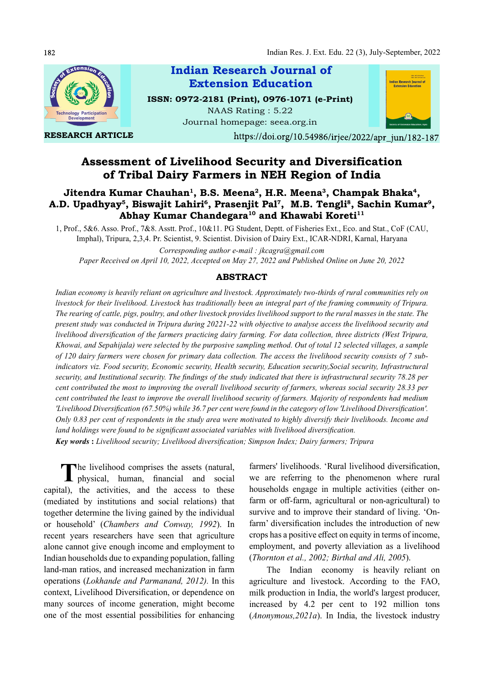

Assessment of Livelihood Security and Diversification of Tribal Dairy Farmers in NEH Region of India

# Jitendra Kumar Chauhan<sup>1</sup>, B.S. Meena<sup>2</sup>, H.R. Meena<sup>3</sup>, Champak Bhaka<sup>4</sup>, Jitendra Kumar Chauhan<sup>1</sup>, B.S. Meena<sup>2</sup>, H.R. Meena<sup>3</sup>, Champak Bhaka<sup>4</sup>,<br>A.D. Upadhyay<sup>5</sup>, Biswajit Lahiri<sup>6</sup>, Prasenjit Pal<sup>7</sup>, M.B. Tengli<sup>8</sup>, Sachin Kumar<sup>9</sup>,<br>Abhay Kumar Chandegara<sup>10</sup> and Khawabi Koreti<sup>11</sup>

1, Prof., 5&6. Asso. Prof., 7&8. Asstt. Prof., 10&11. PG Student, Deptt. of Fisheries Ext., Eco. and Stat., CoF (CAU, Imphal), Tripura, 2,3,4. Pr. Scientist, 9. Scientist. Division of Dairy Ext., ICAR-NDRI, Karnal, Haryana

Corresponding author e-mail : jkcagra@gmail.com Paper Received on April 10, 2022, Accepted on May 27, 2022 and Published Online on June 20, 2022

### ABSTRACT

Indian economy is heavily reliant on agriculture and livestock. Approximately two-thirds of rural communities rely on livestock for their livelihood. Livestock has traditionally been an integral part of the framing community of Tripura. The rearing of cattle, pigs, poultry, and other livestock provides livelihood support to the rural masses in the state. The present study was conducted in Tripura during 20221-22 with objective to analyse access the livelihood security and livelihood diversification of the farmers practicing dairy farming. For data collection, three districts (West Tripura, Khowai, and Sepahijala) were selected by the purposive sampling method. Out of total 12 selected villages, a sample of 120 dairy farmers were chosen for primary data collection. The access the livelihood security consists of 7 subindicators viz. Food security, Economic security, Health security, Education security,Social security, Infrastructural security, and Institutional security. The findings of the study indicated that there is infrastructural security 78.28 per cent contributed the most to improving the overall livelihood security of farmers, whereas social security 28.33 per cent contributed the least to improve the overall livelihood security of farmers. Majority of respondents had medium 'Livelihood Diversification (67.50%) while 36.7 per cent were found in the category of low 'Livelihood Diversification'. Only 0.83 per cent of respondents in the study area were motivated to highly diversify their livelihoods. Income and land holdings were found to be significant associated variables with livelihood diversification.

Key words : Livelihood security; Livelihood diversification; Simpson Index; Dairy farmers; Tripura

The livelihood comprises the assets (natural, farmers' livelih<br>physical, human, financial and social we are referr he livelihood comprises the assets (natural, capital), the activities, and the access to these (mediated by institutions and social relations) that together determine the living gained by the individual or household' (Chambers and Conway, 1992). In recent years researchers have seen that agriculture alone cannot give enough income and employment to Indian households due to expanding population, falling land-man ratios, and increased mechanization in farm operations (Lokhande and Parmanand, 2012). In this context, Livelihood Diversification, or dependence on many sources of income generation, might become one of the most essential possibilities for enhancing

farmers' livelihoods. 'Rural livelihood diversification, we are referring to the phenomenon where rural households engage in multiple activities (either onfarm or off-farm, agricultural or non-agricultural) to survive and to improve their standard of living. 'Onfarm' diversification includes the introduction of new crops has a positive effect on equity in terms of income, employment, and poverty alleviation as a livelihood (Thornton et al., 2002; Birthal and Ali, 2005).

The Indian economy is heavily reliant on agriculture and livestock. According to the FAO, milk production in India, the world's largest producer, increased by 4.2 per cent to 192 million tons (Anonymous,2021a). In India, the livestock industry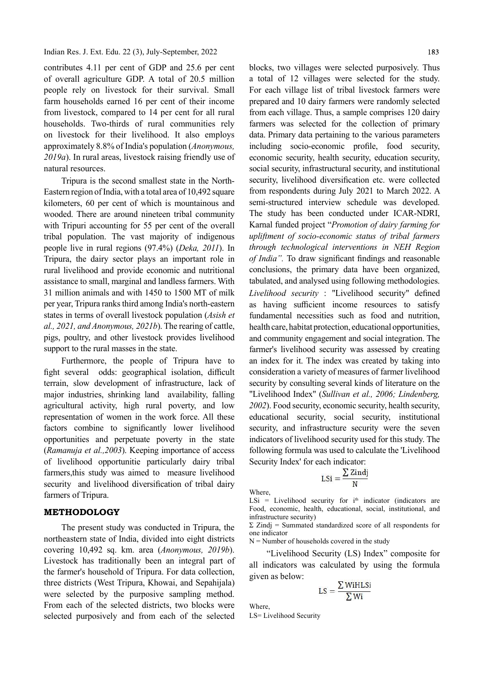contributes 4.11 per cent of GDP and 25.6 per cent of overall agriculture GDP. A total of 20.5 million people rely on livestock for their survival. Small farm households earned 16 per cent of their income from livestock, compared to 14 per cent for all rural households. Two-thirds of rural communities rely on livestock for their livelihood. It also employs approximately 8.8% of India's population (Anonymous, 2019a). In rural areas, livestock raising friendly use of natural resources.

Tripura is the second smallest state in the North-Eastern region of India, with a total area of 10,492 square kilometers, 60 per cent of which is mountainous and wooded. There are around nineteen tribal community with Tripuri accounting for 55 per cent of the overall tribal population. The vast majority of indigenous people live in rural regions (97.4%) (Deka, 2011). In Tripura, the dairy sector plays an important role in rural livelihood and provide economic and nutritional assistance to small, marginal and landless farmers. With 31 million animals and with 1450 to 1500 MT of milk per year, Tripura ranks third among India's north-eastern states in terms of overall livestock population (Asish et al., 2021, and Anonymous, 2021b). The rearing of cattle, pigs, poultry, and other livestock provides livelihood support to the rural masses in the state.

Furthermore, the people of Tripura have to fight several odds: geographical isolation, difficult terrain, slow development of infrastructure, lack of major industries, shrinking land availability, falling agricultural activity, high rural poverty, and low representation of women in the work force. All these factors combine to significantly lower livelihood opportunities and perpetuate poverty in the state (Ramanuja et al.,2003). Keeping importance of access of livelihood opportunitie particularly dairy tribal farmers,this study was aimed to measure livelihood security and livelihood diversification of tribal dairy farmers of Tripura.

#### METHODOLOGY

The present study was conducted in Tripura, the northeastern state of India, divided into eight districts covering 10,492 sq. km. area (Anonymous, 2019b). Livestock has traditionally been an integral part of the farmer's household of Tripura. For data collection, three districts (West Tripura, Khowai, and Sepahijala) were selected by the purposive sampling method. From each of the selected districts, two blocks were selected purposively and from each of the selected

blocks, two villages were selected purposively. Thus a total of 12 villages were selected for the study. For each village list of tribal livestock farmers were prepared and 10 dairy farmers were randomly selected from each village. Thus, a sample comprises 120 dairy farmers was selected for the collection of primary data. Primary data pertaining to the various parameters including socio-economic profile, food security, economic security, health security, education security, social security, infrastructural security, and institutional security, livelihood diversification etc. were collected from respondents during July 2021 to March 2022. A semi-structured interview schedule was developed. The study has been conducted under ICAR-NDRI, Karnal funded project "Promotion of dairy farming for upliftment of socio-economic status of tribal farmers through technological interventions in NEH Region of India". To draw significant findings and reasonable conclusions, the primary data have been organized, tabulated, and analysed using following methodologies. Livelihood security : "Livelihood security" defined as having sufficient income resources to satisfy fundamental necessities such as food and nutrition, health care, habitat protection, educational opportunities, and community engagement and social integration. The farmer's livelihood security was assessed by creating an index for it. The index was created by taking into consideration a variety of measures of farmer livelihood security by consulting several kinds of literature on the "Livelihood Index" (Sullivan et al., 2006; Lindenberg, 2002). Food security, economic security, health security, educational security, social security, institutional security, and infrastructure security were the seven indicators of livelihood security used for this study. The following formula was used to calculate the 'Livelihood Security Index' for each indicator:

$$
LSi = \frac{\sum Zindj}{N}
$$

Where,

 $LSi = Livelihood$  security for  $i<sup>th</sup>$  indicator (indicators are Food, economic, health, educational, social, institutional, and infrastructure security)

 $\Sigma$  Zindj = Summated standardized score of all respondents for one indicator

 $N =$  Number of households covered in the study

"Livelihood Security (LS) Index" composite for all indicators was calculated by using the formula given as below:

$$
LS = \frac{\sum WiHLSi}{\sum Wi}
$$

Where,

LS= Livelihood Security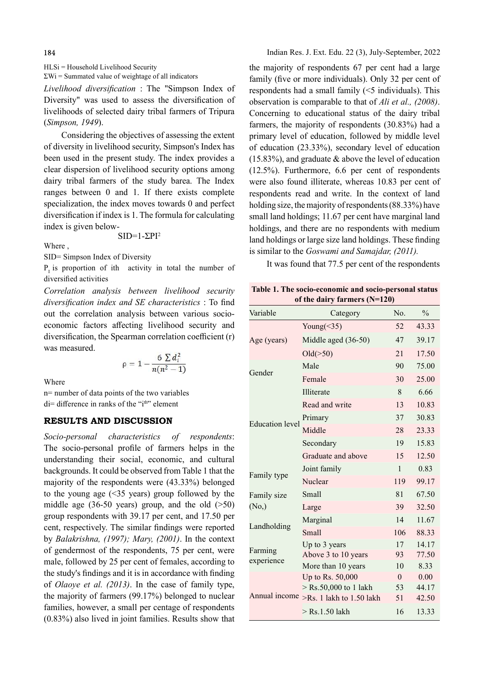184

HLSi = Household Livelihood Security  $\Sigma$ Wi = Summated value of weightage of all indicators

Livelihood diversification : The "Simpson Index of Diversity" was used to assess the diversification of observation is comparable to that of Ali et al.,  $(2008)$ . livelihoods of selected dairy tribal farmers of Tripura (Simpson, 1949).

Considering the objectives of assessing the extent of diversity in livelihood security, Simpson's Index has been used in the present study. The index provides a clear dispersion of livelihood security options among dairy tribal farmers of the study barea. The Index ranges between 0 and 1. If there exists complete specialization, the index moves towards 0 and perfect diversification if index is 1. The formula for calculating index is given below-

$$
SID=1-\Sigma PI^2
$$

Where ,

SID= Simpson Index of Diversity

 $P<sub>r</sub>$  is proportion of ith activity in total the number of diversified activities

Correlation analysis between livelihood security  $diversification$  index and SE characteristics : To find out the correlation analysis between various socioeconomic factors affecting livelihood security and diversification, the Spearman correlation coefficient  $(r)$ was measured.

$$
p = 1 - \frac{6 \sum d_i^2}{n(n^2 - 1)}
$$

**Where** 

n= number of data points of the two variables di= difference in ranks of the "i<sup>th</sup>" element

# RESULTS AND DISCUSSION

Socio-personal characteristics of respondents: The socio-personal profile of farmers helps in the understanding their social, economic, and cultural backgrounds. It could be observed from Table 1 that the majority of the respondents were (43.33%) belonged to the young age (<35 years) group followed by the middle age (36-50 years) group, and the old  $(>50)$ group respondents with 39.17 per cent, and 17.50 per cent, respectively. The similar findings were reported by Balakrishna, (1997); Mary, (2001). In the context of gendermost of the respondents, 75 per cent, were male, followed by 25 per cent of females, according to the study's findings and it is in accordance with finding of Olaoye et al. (2013). In the case of family type, the majority of farmers (99.17%) belonged to nuclear families, however, a small per centage of respondents (0.83%) also lived in joint families. Results show that

the majority of respondents 67 per cent had a large family (five or more individuals). Only 32 per cent of respondents had a small family (<5 individuals). This Concerning to educational status of the dairy tribal. farmers, the majority of respondents (30.83%) had a primary level of education, followed by middle level of education (23.33%), secondary level of education (15.83%), and graduate & above the level of education (12.5%). Furthermore, 6.6 per cent of respondents were also found illiterate, whereas 10.83 per cent of respondents read and write. In the context of land holding size, the majority of respondents (88.33%) have small land holdings; 11.67 per cent have marginal land holdings, and there are no respondents with medium land holdings or large size land holdings. These finding is similar to the Goswami and Samajdar, (2011).

It was found that 77.5 per cent of the respondents

| Table 1. The socio-economic and socio-personal status<br>of the dairy farmers (N=120) |                       |          |               |
|---------------------------------------------------------------------------------------|-----------------------|----------|---------------|
| Variable                                                                              | Category              | No.      | $\frac{0}{0}$ |
|                                                                                       | Young( $\leq$ 35)     | 52       | 43.33         |
| Age (years)                                                                           | Middle aged (36-50)   | 47       | 39.17         |
|                                                                                       | $Old(\geq 50)$        | 2.1      | 17.50         |
| Gender                                                                                | Male                  | 90       | 75.00         |
|                                                                                       | Female                | 30       | 25.00         |
|                                                                                       | <b>Illiterate</b>     | 8        | 6.66          |
|                                                                                       | Read and write        | 13       | 10.83         |
| <b>Education</b> level                                                                | Primary               | 37       | 30.83         |
|                                                                                       | Middle                | 28       | 23.33         |
|                                                                                       | Secondary             | 19       | 15.83         |
|                                                                                       | Graduate and above    | 15       | 12.50         |
| Family type                                                                           | Joint family          | 1        | 0.83          |
|                                                                                       | Nuclear               | 119      | 99.17         |
| Family size                                                                           | <b>Small</b>          | 81       | 67.50         |
| (No,)                                                                                 | Large                 | 39       | 32.50         |
|                                                                                       | Marginal              | 14       | 11.67         |
| Landholding                                                                           | Small                 | 106      | 88.33         |
| Farming                                                                               | Up to 3 years         | 17       | 14.17         |
| experience                                                                            | Above 3 to 10 years   | 93       | 77.50         |
|                                                                                       | More than 10 years    | 10       | 8.33          |
| Annual income $>Rs$ . 1 lakh to 1.50 lakh                                             | Up to Rs. 50,000      | $\Omega$ | 0.00          |
|                                                                                       | > Rs.50,000 to 1 lakh | 53       | 44.17         |
|                                                                                       |                       | 51       | 42.50         |
|                                                                                       | $>$ Rs.1.50 lakh      | 16       | 13.33         |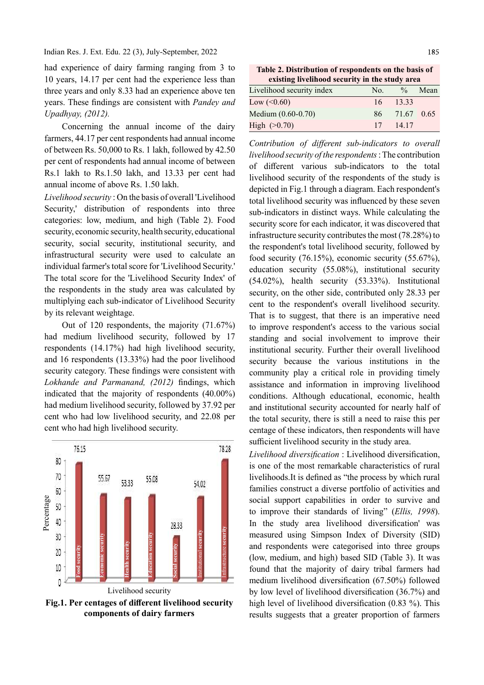Indian Res. J. Ext. Edu. 22 (3), July-September, 2022

had experience of dairy farming ranging from 3 to 10 years, 14.17 per cent had the experience less than three years and only 8.33 had an experience above ten years. These findings are consistent with Pandey and Upadhyay, (2012).

Concerning the annual income of the dairy farmers, 44.17 per cent respondents had annual income of between Rs. 50,000 to Rs. 1 lakh, followed by 42.50 per cent of respondents had annual income of between Rs.1 lakh to Rs.1.50 lakh, and 13.33 per cent had annual income of above Rs. 1.50 lakh.

Livelihood security : On the basis of overall 'Livelihood Security,' distribution of respondents into three categories: low, medium, and high (Table 2). Food security, economic security, health security, educational security, social security, institutional security, and infrastructural security were used to calculate an individual farmer's total score for 'Livelihood Security.' The total score for the 'Livelihood Security Index' of the respondents in the study area was calculated by multiplying each sub-indicator of Livelihood Security by its relevant weightage.

Out of 120 respondents, the majority (71.67%) had medium livelihood security, followed by 17 respondents (14.17%) had high livelihood security, and 16 respondents (13.33%) had the poor livelihood security category. These findings were consistent with Lokhande and Parmanand,  $(2012)$  findings, which indicated that the majority of respondents (40.00%) had medium livelihood security, followed by 37.92 per cent who had low livelihood security, and 22.08 per cent who had high livelihood security.



Fig.1. Per centages of different livelihood security components of dairy farmers

Table 2. Distribution of respondents on the basis of existing livelihood security in the study area

| Livelihood security index | No.             | $\frac{0}{0}$ | Mean |
|---------------------------|-----------------|---------------|------|
| Low $(<0.60)$             | 16 <sup>1</sup> | 13.33         |      |
| Medium (0.60-0.70)        | 86.             | 71.67 0.65    |      |
| High $(>0.70)$            | 17              | 14.17         |      |

Contribution of different sub-indicators to overall livelihood security of the respondents : The contribution of different various sub-indicators to the total livelihood security of the respondents of the study is depicted in Fig.1 through a diagram. Each respondent's total livelihood security was influenced by these seven sub-indicators in distinct ways. While calculating the security score for each indicator, it was discovered that infrastructure security contributes the most (78.28%) to the respondent's total livelihood security, followed by food security (76.15%), economic security (55.67%), education security (55.08%), institutional security (54.02%), health security (53.33%). Institutional security, on the other side, contributed only 28.33 per cent to the respondent's overall livelihood security. That is to suggest, that there is an imperative need to improve respondent's access to the various social standing and social involvement to improve their institutional security. Further their overall livelihood security because the various institutions in the community play a critical role in providing timely assistance and information in improving livelihood conditions. Although educational, economic, health and institutional security accounted for nearly half of the total security, there is still a need to raise this per centage of these indicators, then respondents will have sufficient livelihood security in the study area.

Livelihood diversification : Livelihood diversification, is one of the most remarkable characteristics of rural livelihoods. It is defined as "the process by which rural families construct a diverse portfolio of activities and social support capabilities in order to survive and to improve their standards of living" (Ellis, 1998). In the study area livelihood diversification' was measured using Simpson Index of Diversity (SID) and respondents were categorised into three groups (low, medium, and high) based SID (Table 3). It was found that the majority of dairy tribal farmers had medium livelihood diversification (67.50%) followed by low level of livelihood diversification  $(36.7%)$  and high level of livelihood diversification  $(0.83 \%)$ . This results suggests that a greater proportion of farmers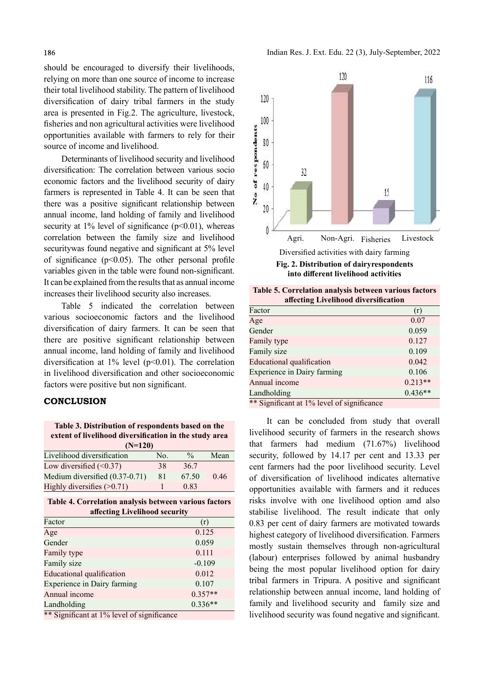should be encouraged to diversify their livelihoods, relying on more than one source of income to increase their total livelihood stability. The pattern of livelihood<br>diversification of dairy tribal farmers in the study [120] diversification of dairy tribal farmers in the study area is presented in Fig.2. The agriculture, livestock,<br>fisheries and non-agricultural activities were livelihood opportunities available with farmers to rely for their  $\frac{1}{8}$ source of income and livelihood.

fisheries and non agricultural activities were livelihood<br>opportunities available with farmers to rely for their<br>source of income and livelihood.<br>Determinants of livelihood security and livelihood<br>diversification: The corr Determinants of livelihood security and livelihood  $\frac{8}{90}$  60 diversification: The correlation between various socio  $\frac{1}{2}$   $\frac{1}{2}$   $\frac{1}{32}$ economic factors and the livelihood security of dairy  $\frac{1}{8}$  40 farmers is represented in Table 4. It can be seen that<br>there was a positive significant relationship between  $\overline{z}$ there was a positive significant relationship between  $Z_{20}$ annual income, land holding of family and livelihood security at 1% level of significance (p<0.01), whereas correlation between the family size and livelihood Agri. securitywas found negative and significant at 5% level of significance ( $p$ <0.05). The other personal profile variables given in the table were found non-significant. It can be explained from the results that as annual income increases their livelihood security also increases.

Table 5 indicated the correlation between various socioeconomic factors and the livelihood diversification of dairy farmers. It can be seen that there are positive significant relationship between annual income, land holding of family and livelihood diversification at 1% level ( $p \le 0.01$ ). The correlation in livelihood diversification and other socioeconomic factors were positive but non significant.

## **CONCLUSION**

Table 3. Distribution of respondents based on the extent of livelihood diversification in the study area (N=120)

| Livelihood diversification     | No. | $\frac{0}{0}$ | Mean |
|--------------------------------|-----|---------------|------|
| Low diversified $(\leq 0.37)$  | 38  | 36.7          |      |
| Medium diversified (0.37-0.71) | 81  | 67.50         | 0.46 |
| Highly diversifies $(>0.71)$   |     | 0.83          |      |

| Table 4. Correlation analysis between various factors |
|-------------------------------------------------------|
| affecting Livelihood security                         |

| Factor                             | (r)                    |
|------------------------------------|------------------------|
| Age                                | 0.125                  |
| Gender                             | 0.059                  |
| Family type                        | 0.111                  |
| Family size                        | $-0.109$               |
| <b>Educational qualification</b>   | 0.012                  |
| <b>Experience in Dairy farming</b> | 0.107                  |
| Annual income                      | $0.357**$<br>$0.336**$ |
| Landholding                        |                        |

\*\* Significant at 1% level of significance



Fig. 2. Distribution of dairyrespondents into different livelihood activities

Table 5. Correlation analysis between various factors affecting Livelihood diversification

| Factor                                     | (r)       |
|--------------------------------------------|-----------|
| Age                                        | 0.07      |
| Gender                                     | 0.059     |
| Family type                                | 0.127     |
| Family size                                | 0.109     |
| Educational qualification                  | 0.042     |
| <b>Experience in Dairy farming</b>         | 0.106     |
| Annual income                              | $0.213**$ |
| Landholding                                | $0.436**$ |
| ** Significant at 1% level of significance |           |

Significant at 1% level of significance

It can be concluded from study that overall livelihood security of farmers in the research shows that farmers had medium (71.67%) livelihood security, followed by 14.17 per cent and 13.33 per cent farmers had the poor livelihood security. Level of diversification of livelihood indicates alternative opportunities available with farmers and it reduces risks involve with one livelihood option amd also stabilise livelihood. The result indicate that only 0.83 per cent of dairy farmers are motivated towards highest category of livelihood diversification. Farmers mostly sustain themselves through non-agricultural (labour) enterprises followed by animal husbandry being the most popular livelihood option for dairy tribal farmers in Tripura. A positive and significant relationship between annual income, land holding of family and livelihood security and family size and livelihood security was found negative and significant.